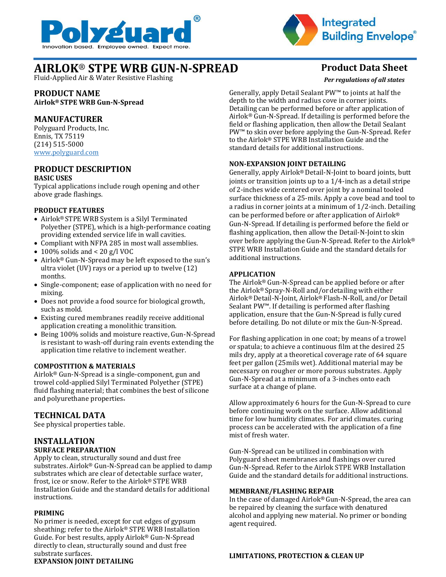



# **AIRLOK**® **STPE WRB GUN-N-SPREAD Product Data Sheet**

Fluid-Applied Air & Water Resistive Flashing

# **PRODUCT NAME**

**Airlok® STPE WRB Gun-N-Spread**

# **MANUFACTURER**

Polyguard Products, Inc. Ennis, TX 75119 (214) 515-5000 [www.polyguard.com](http://www.polyguard.com/)

### **PRODUCT DESCRIPTION BASIC USES**

Typical applications include rough opening and other above grade flashings.

### **PRODUCT FEATURES**

- Airlok® STPE WRB System is a Silyl Terminated Polyether (STPE), which is a high-performance coating providing extended service life in wall cavities.
- Compliant with NFPA 285 in most wall assemblies.
- 100% solids and < 20 g/l VOC
- Airlok® Gun-N-Spread may be left exposed to the sun's ultra violet (UV) rays or a period up to twelve (12) months.
- Single-component; ease of application with no need for mixing.
- Does not provide a food source for biological growth, such as mold.
- Existing cured membranes readily receive additional application creating a monolithic transition.
- Being 100% solids and moisture reactive, Gun-N-Spread is resistant to wash-off during rain events extending the application time relative to inclement weather.

# **COMPOSTITION & MATERIALS**

Airlok® Gun-N-Spread is a single-component, gun and trowel cold-applied Silyl Terminated Polyether (STPE) fluid flashing material; that combines the best of silicone and polyurethane properties.

# **TECHNICAL DATA**

See physical properties table.

### **INSTALLATION SURFACE PREPARATION**

Apply to clean, structurally sound and dust free substrates. Airlok® Gun-N-Spread can be applied to damp substrates which are clear of detectable surface water, frost, ice or snow. Refer to the Airlok® STPE WRB Installation Guide and the standard details for additional instructions.

### **PRIMING**

No primer is needed, except for cut edges of gypsum sheathing; refer to the Airlok® STPE WRB Installation Guide. For best results, apply Airlok® Gun-N-Spread directly to clean, structurally sound and dust free substrate surfaces. **EXPANSION JOINT DETAILING**

*Per regulations of all states*

Generally, apply Detail Sealant PW™ to joints at half the depth to the width and radius cove in corner joints. Detailing can be performed before or after application of Airlok® Gun-N-Spread. If detailing is performed before the field or flashing application, then allow the Detail Sealant PW™ to skin over before applying the Gun-N-Spread. Refer to the Airlok® STPE WRB Installation Guide and the standard details for additional instructions.

### **NON-EXPANSION JOINT DETAILING**

Generally, apply Airlok® Detail-N-Joint to board joints, butt joints or transition joints up to a 1/4-inch as a detail stripe of 2-inches wide centered over joint by a nominal tooled surface thickness of a 25-mils. Apply a cove bead and tool to a radius in corner joints at a minimum of 1/2-inch. Detailing can be performed before or after application of Airlok® Gun-N-Spread. If detailing is performed before the field or flashing application, then allow the Detail-N-Joint to skin over before applying the Gun-N-Spread. Refer to the Airlok® STPE WRB Installation Guide and the standard details for additional instructions.

# **APPLICATION**

The Airlok® Gun-N-Spread can be applied before or after the Airlok® Spray-N-Roll and/or detailing with either Airlok® Detail-N-Joint, Airlok® Flash-N-Roll, and/or Detail Sealant PW™. If detailing is performed after flashing application, ensure that the Gun-N-Spread is fully cured before detailing. Do not dilute or mix the Gun-N-Spread.

For flashing application in one coat; by means of a trowel or spatula; to achieve a continuous film at the desired 25 mils dry, apply at a theoretical coverage rate of 64 square feet per gallon (25mils wet). Additional material may be necessary on rougher or more porous substrates. Apply Gun-N-Spread at a minimum of a 3-inches onto each surface at a change of plane.

Allow approximately 6 hours for the Gun-N-Spread to cure before continuing work on the surface. Allow additional time for low humidity climates. For arid climates. curing process can be accelerated with the application of a fine mist of fresh water.

Gun-N-Spread can be utilized in combination with Polyguard sheet membranes and flashings over cured Gun-N-Spread. Refer to the Airlok STPE WRB Installation Guide and the standard details for additional instructions.

### **MEMBRANE/FLASHING REPAIR**

In the case of damaged Airlok® Gun-N-Spread, the area can be repaired by cleaning the surface with denatured alcohol and applying new material. No primer or bonding agent required.